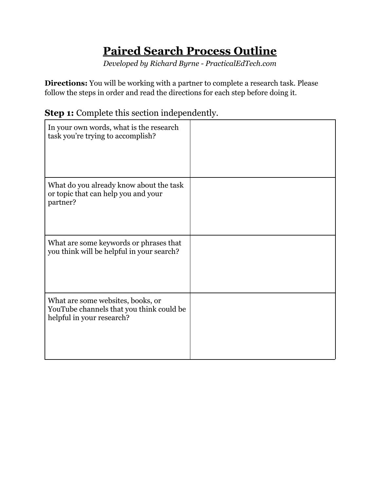## **Paired Search Process Outline**

*Developed by Richard Byrne - PracticalEdTech.com*

**Directions:** You will be working with a partner to complete a research task. Please follow the steps in order and read the directions for each step before doing it.

| In your own words, what is the research<br>task you're trying to accomplish?                               |  |
|------------------------------------------------------------------------------------------------------------|--|
| What do you already know about the task<br>or topic that can help you and your<br>partner?                 |  |
| What are some keywords or phrases that<br>you think will be helpful in your search?                        |  |
| What are some websites, books, or<br>YouTube channels that you think could be<br>helpful in your research? |  |

**Step 1:** Complete this section independently.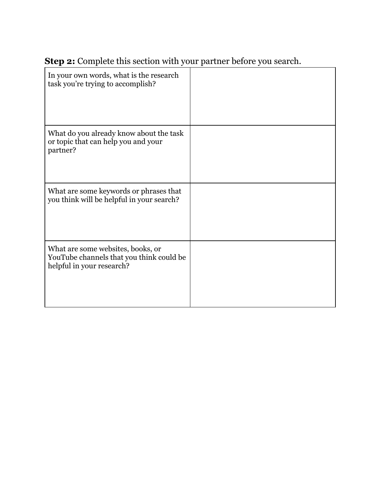| In your own words, what is the research<br>task you're trying to accomplish?                               |  |
|------------------------------------------------------------------------------------------------------------|--|
| What do you already know about the task<br>or topic that can help you and your<br>partner?                 |  |
| What are some keywords or phrases that<br>you think will be helpful in your search?                        |  |
| What are some websites, books, or<br>YouTube channels that you think could be<br>helpful in your research? |  |

## **Step 2:** Complete this section with your partner before you search.